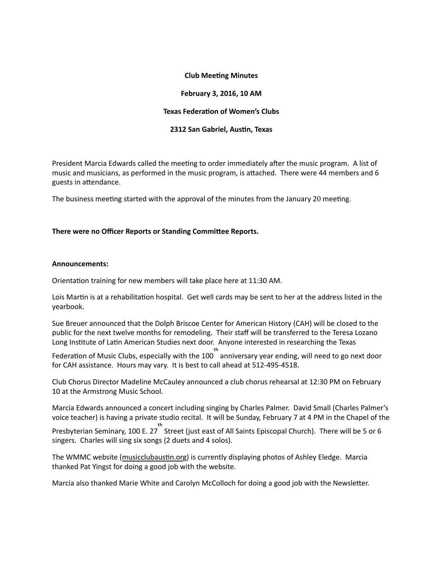#### **Club Meeting Minutes**

#### **February 3, 2016, 10 AM**

## **Texas Federation of Women's Clubs**

## **2312 San Gabriel, Austin, Texas**

President Marcia Edwards called the meeting to order immediately after the music program. A list of music and musicians, as performed in the music program, is attached. There were 44 members and 6 guests in attendance.

The business meeting started with the approval of the minutes from the January 20 meeting.

## There were no Officer Reports or Standing Committee Reports.

#### **Announcements:**

Orientation training for new members will take place here at 11:30 AM.

Lois Martin is at a rehabilitation hospital. Get well cards may be sent to her at the address listed in the yearbook.

Sue Breuer announced that the Dolph Briscoe Center for American History (CAH) will be closed to the public for the next twelve months for remodeling. Their staff will be transferred to the Teresa Lozano Long Institute of Latin American Studies next door. Anyone interested in researching the Texas

Federation of Music Clubs, especially with the 100  $\overline{a}^{\text{th}}$  anniversary year ending, will need to go next door for CAH assistance. Hours may vary. It is best to call ahead at 512-495-4518.

Club Chorus Director Madeline McCauley announced a club chorus rehearsal at 12:30 PM on February 10 at the Armstrong Music School.

Marcia Edwards announced a concert including singing by Charles Palmer. David Small (Charles Palmer's voice teacher) is having a private studio recital. It will be Sunday, February 7 at 4 PM in the Chapel of the

Presbyterian Seminary, 100 E. 27 Street (just east of All Saints Episcopal Church). There will be 5 or 6 singers. Charles will sing six songs (2 duets and 4 solos).

The WMMC website (musicclubaustin.org) is currently displaying photos of Ashley Eledge. Marcia thanked Pat Yingst for doing a good job with the website.

Marcia also thanked Marie White and Carolyn McColloch for doing a good job with the Newsletter.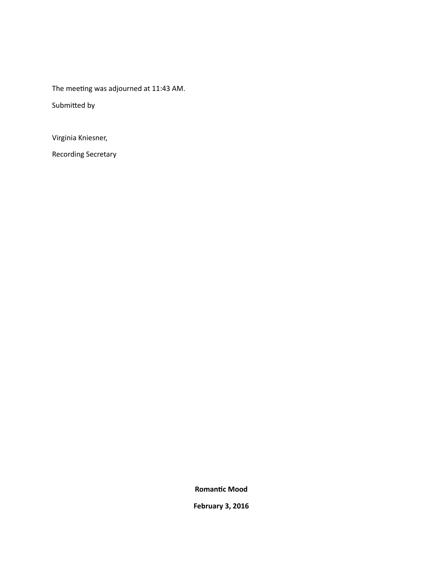The meeting was adjourned at 11:43 AM.

Submitted by

Virginia Kniesner,

Recording Secretary

**Romantic Mood** 

**February 3, 2016**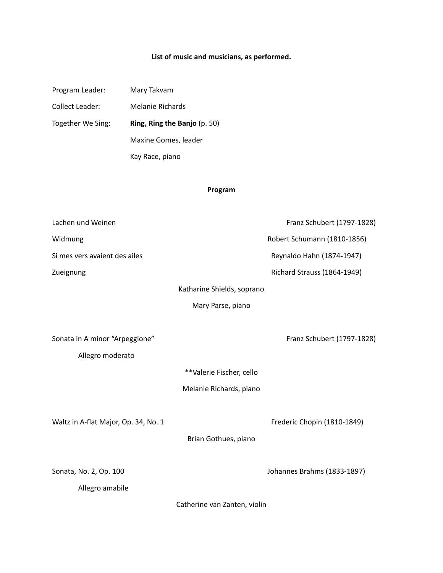# List of music and musicians, as performed.

| Program Leader:   | Mary Takvam                  |  |
|-------------------|------------------------------|--|
| Collect Leader:   | Melanie Richards             |  |
| Together We Sing: | Ring, Ring the Banjo (p. 50) |  |
|                   | Maxine Gomes, leader         |  |
|                   | Kay Race, piano              |  |

# **Program**

| Lachen und Weinen                    |                              | Franz Schubert (1797-1828)  |
|--------------------------------------|------------------------------|-----------------------------|
| Widmung                              |                              | Robert Schumann (1810-1856) |
| Si mes vers avaient des ailes        |                              | Reynaldo Hahn (1874-1947)   |
| Zueignung                            |                              | Richard Strauss (1864-1949) |
|                                      | Katharine Shields, soprano   |                             |
|                                      | Mary Parse, piano            |                             |
|                                      |                              |                             |
| Sonata in A minor "Arpeggione"       |                              | Franz Schubert (1797-1828)  |
| Allegro moderato                     |                              |                             |
|                                      | **Valerie Fischer, cello     |                             |
|                                      | Melanie Richards, piano      |                             |
|                                      |                              |                             |
| Waltz in A-flat Major, Op. 34, No. 1 |                              | Frederic Chopin (1810-1849) |
|                                      | Brian Gothues, piano         |                             |
|                                      |                              |                             |
| Sonata, No. 2, Op. 100               |                              | Johannes Brahms (1833-1897) |
| Allegro amabile                      |                              |                             |
|                                      | Catherine van Zanten, violin |                             |